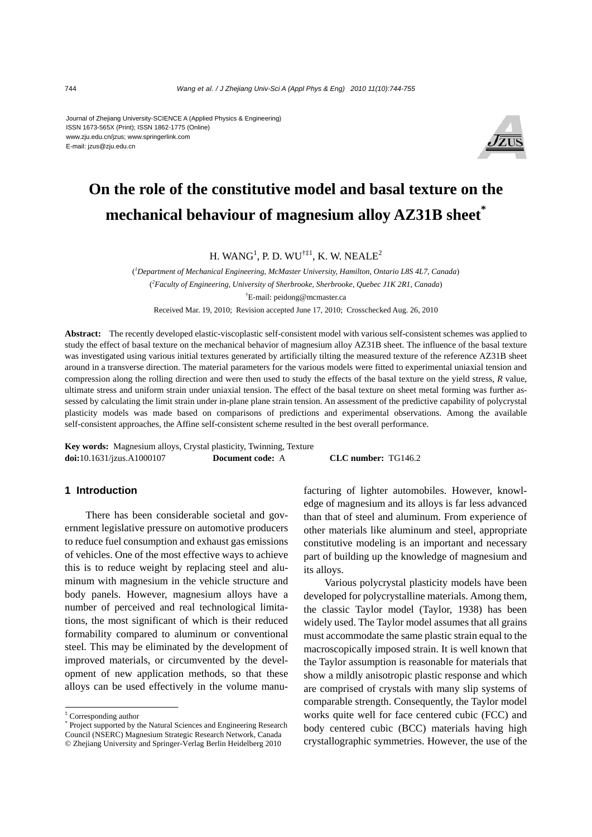#### Journal of Zhejiang University-SCIENCE A (Applied Physics & Engineering) ISSN 1673-565X (Print); ISSN 1862-1775 (Online) www.zju.edu.cn/jzus; www.springerlink.com E-mail: jzus@zju.edu.cn



# **On the role of the constitutive model and basal texture on the mechanical behaviour of magnesium alloy AZ31B sheet\***

H. WANG<sup>1</sup>, P. D. WU<sup>†‡1</sup>, K. W. NEALE<sup>2</sup>

( *1 Department of Mechanical Engineering, McMaster University, Hamilton, Ontario L8S 4L7, Canada*) ( *2 Faculty of Engineering, University of Sherbrooke, Sherbrooke, Quebec J1K 2R1, Canada*) † E-mail: peidong@mcmaster.ca Received Mar. 19, 2010; Revision accepted June 17, 2010; Crosschecked Aug. 26, 2010

**Abstract:** The recently developed elastic-viscoplastic self-consistent model with various self-consistent schemes was applied to study the effect of basal texture on the mechanical behavior of magnesium alloy AZ31B sheet. The influence of the basal texture was investigated using various initial textures generated by artificially tilting the measured texture of the reference AZ31B sheet around in a transverse direction. The material parameters for the various models were fitted to experimental uniaxial tension and compression along the rolling direction and were then used to study the effects of the basal texture on the yield stress, *R* value, ultimate stress and uniform strain under uniaxial tension. The effect of the basal texture on sheet metal forming was further assessed by calculating the limit strain under in-plane plane strain tension. An assessment of the predictive capability of polycrystal plasticity models was made based on comparisons of predictions and experimental observations. Among the available self-consistent approaches, the Affine self-consistent scheme resulted in the best overall performance.

**Key words:** Magnesium alloys, Crystal plasticity, Twinning, Texture **doi:**10.1631/jzus.A1000107 **Document code:** A **CLC number:** TG146.2

## **1 Introduction**

There has been considerable societal and government legislative pressure on automotive producers to reduce fuel consumption and exhaust gas emissions of vehicles. One of the most effective ways to achieve this is to reduce weight by replacing steel and aluminum with magnesium in the vehicle structure and body panels. However, magnesium alloys have a number of perceived and real technological limitations, the most significant of which is their reduced formability compared to aluminum or conventional steel. This may be eliminated by the development of improved materials, or circumvented by the development of new application methods, so that these alloys can be used effectively in the volume manufacturing of lighter automobiles. However, knowledge of magnesium and its alloys is far less advanced than that of steel and aluminum. From experience of other materials like aluminum and steel, appropriate constitutive modeling is an important and necessary part of building up the knowledge of magnesium and its alloys.

Various polycrystal plasticity models have been developed for polycrystalline materials. Among them, the classic Taylor model (Taylor, 1938) has been widely used. The Taylor model assumes that all grains must accommodate the same plastic strain equal to the macroscopically imposed strain. It is well known that the Taylor assumption is reasonable for materials that show a mildly anisotropic plastic response and which are comprised of crystals with many slip systems of comparable strength. Consequently, the Taylor model works quite well for face centered cubic (FCC) and body centered cubic (BCC) materials having high crystallographic symmetries. However, the use of the

<sup>‡</sup> Corresponding author

<sup>\*</sup> Project supported by the Natural Sciences and Engineering Research Council (NSERC) Magnesium Strategic Research Network, Canada © Zhejiang University and Springer-Verlag Berlin Heidelberg 2010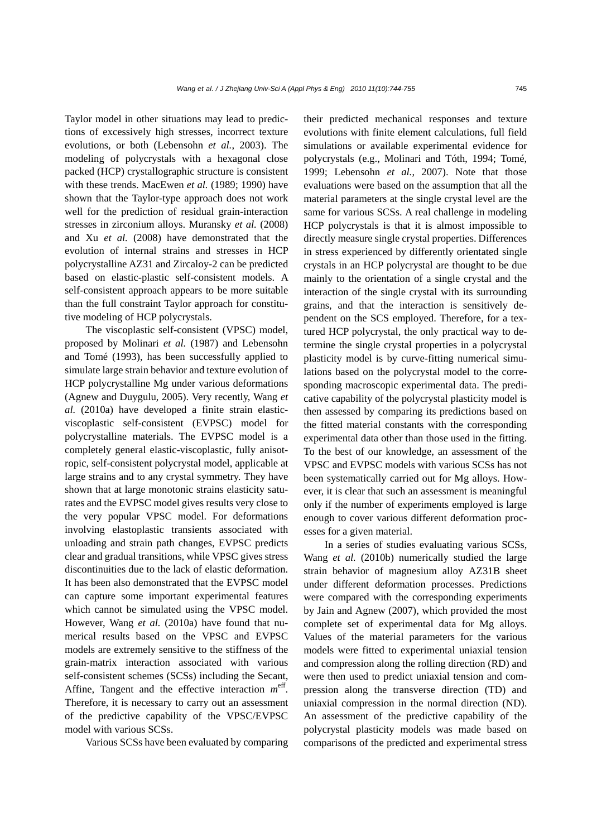Taylor model in other situations may lead to predictions of excessively high stresses, incorrect texture evolutions, or both (Lebensohn *et al.*, 2003). The modeling of polycrystals with a hexagonal close packed (HCP) crystallographic structure is consistent with these trends. MacEwen *et al.* (1989; 1990) have shown that the Taylor-type approach does not work well for the prediction of residual grain-interaction stresses in zirconium alloys. Muransky *et al.* (2008) and Xu *et al.* (2008) have demonstrated that the evolution of internal strains and stresses in HCP polycrystalline AZ31 and Zircaloy-2 can be predicted based on elastic-plastic self-consistent models. A self-consistent approach appears to be more suitable than the full constraint Taylor approach for constitutive modeling of HCP polycrystals.

The viscoplastic self-consistent (VPSC) model, proposed by Molinari *et al.* (1987) and Lebensohn and Tomé (1993), has been successfully applied to simulate large strain behavior and texture evolution of HCP polycrystalline Mg under various deformations (Agnew and Duygulu, 2005). Very recently, Wang *et al.* (2010a) have developed a finite strain elasticviscoplastic self-consistent (EVPSC) model for polycrystalline materials. The EVPSC model is a completely general elastic-viscoplastic, fully anisotropic, self-consistent polycrystal model, applicable at large strains and to any crystal symmetry. They have shown that at large monotonic strains elasticity saturates and the EVPSC model gives results very close to the very popular VPSC model. For deformations involving elastoplastic transients associated with unloading and strain path changes, EVPSC predicts clear and gradual transitions, while VPSC gives stress discontinuities due to the lack of elastic deformation. It has been also demonstrated that the EVPSC model can capture some important experimental features which cannot be simulated using the VPSC model. However, Wang *et al.* (2010a) have found that numerical results based on the VPSC and EVPSC models are extremely sensitive to the stiffness of the grain-matrix interaction associated with various self-consistent schemes (SCSs) including the Secant, Affine, Tangent and the effective interaction *m* eff. Therefore, it is necessary to carry out an assessment of the predictive capability of the VPSC/EVPSC model with various SCSs.

Various SCSs have been evaluated by comparing

their predicted mechanical responses and texture evolutions with finite element calculations, full field simulations or available experimental evidence for polycrystals (e.g., Molinari and Tóth, 1994; Tomé, 1999; Lebensohn *et al.*, 2007). Note that those evaluations were based on the assumption that all the material parameters at the single crystal level are the same for various SCSs. A real challenge in modeling HCP polycrystals is that it is almost impossible to directly measure single crystal properties. Differences in stress experienced by differently orientated single crystals in an HCP polycrystal are thought to be due mainly to the orientation of a single crystal and the interaction of the single crystal with its surrounding grains, and that the interaction is sensitively dependent on the SCS employed. Therefore, for a textured HCP polycrystal, the only practical way to determine the single crystal properties in a polycrystal plasticity model is by curve-fitting numerical simulations based on the polycrystal model to the corresponding macroscopic experimental data. The predicative capability of the polycrystal plasticity model is then assessed by comparing its predictions based on the fitted material constants with the corresponding experimental data other than those used in the fitting. To the best of our knowledge, an assessment of the VPSC and EVPSC models with various SCSs has not been systematically carried out for Mg alloys. However, it is clear that such an assessment is meaningful only if the number of experiments employed is large enough to cover various different deformation processes for a given material.

In a series of studies evaluating various SCSs, Wang *et al.* (2010b) numerically studied the large strain behavior of magnesium alloy AZ31B sheet under different deformation processes. Predictions were compared with the corresponding experiments by Jain and Agnew (2007), which provided the most complete set of experimental data for Mg alloys. Values of the material parameters for the various models were fitted to experimental uniaxial tension and compression along the rolling direction (RD) and were then used to predict uniaxial tension and compression along the transverse direction (TD) and uniaxial compression in the normal direction (ND). An assessment of the predictive capability of the polycrystal plasticity models was made based on comparisons of the predicted and experimental stress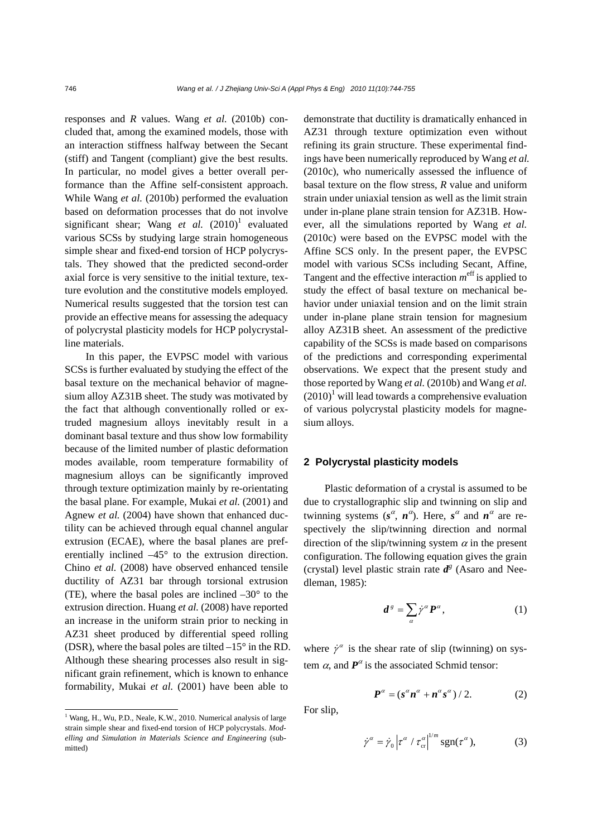responses and *R* values. Wang *et al.* (2010b) concluded that, among the examined models, those with an interaction stiffness halfway between the Secant (stiff) and Tangent (compliant) give the best results. In particular, no model gives a better overall performance than the Affine self-consistent approach. While Wang *et al.* (2010b) performed the evaluation based on deformation processes that do not involve significant shear; Wang *et al.*  $(2010)^1$  evaluated various SCSs by studying large strain homogeneous simple shear and fixed-end torsion of HCP polycrystals. They showed that the predicted second-order axial force is very sensitive to the initial texture, texture evolution and the constitutive models employed. Numerical results suggested that the torsion test can provide an effective means for assessing the adequacy of polycrystal plasticity models for HCP polycrystalline materials.

In this paper, the EVPSC model with various SCSs is further evaluated by studying the effect of the basal texture on the mechanical behavior of magnesium alloy AZ31B sheet. The study was motivated by the fact that although conventionally rolled or extruded magnesium alloys inevitably result in a dominant basal texture and thus show low formability because of the limited number of plastic deformation modes available, room temperature formability of magnesium alloys can be significantly improved through texture optimization mainly by re-orientating the basal plane. For example, Mukai *et al.* (2001) and Agnew *et al.* (2004) have shown that enhanced ductility can be achieved through equal channel angular extrusion (ECAE), where the basal planes are preferentially inclined –45° to the extrusion direction. Chino *et al.* (2008) have observed enhanced tensile ductility of AZ31 bar through torsional extrusion (TE), where the basal poles are inclined  $-30^{\circ}$  to the extrusion direction. Huang *et al.* (2008) have reported an increase in the uniform strain prior to necking in AZ31 sheet produced by differential speed rolling (DSR), where the basal poles are tilted  $-15^{\circ}$  in the RD. Although these shearing processes also result in significant grain refinement, which is known to enhance formability, Mukai *et al.* (2001) have been able to

demonstrate that ductility is dramatically enhanced in AZ31 through texture optimization even without refining its grain structure. These experimental findings have been numerically reproduced by Wang *et al.* (2010c), who numerically assessed the influence of basal texture on the flow stress, *R* value and uniform strain under uniaxial tension as well as the limit strain under in-plane plane strain tension for AZ31B. However, all the simulations reported by Wang *et al.* (2010c) were based on the EVPSC model with the Affine SCS only. In the present paper, the EVPSC model with various SCSs including Secant, Affine, Tangent and the effective interaction  $m^{\text{eff}}$  is applied to study the effect of basal texture on mechanical behavior under uniaxial tension and on the limit strain under in-plane plane strain tension for magnesium alloy AZ31B sheet. An assessment of the predictive capability of the SCSs is made based on comparisons of the predictions and corresponding experimental observations. We expect that the present study and those reported by Wang *et al.* (2010b) and Wang *et al.*  $(2010)^1$  will lead towards a comprehensive evaluation of various polycrystal plasticity models for magnesium alloys.

## **2 Polycrystal plasticity models**

Plastic deformation of a crystal is assumed to be due to crystallographic slip and twinning on slip and twinning systems  $(s^{\alpha}, n^{\alpha})$ . Here,  $s^{\alpha}$  and  $n^{\alpha}$  are respectively the slip/twinning direction and normal direction of the slip/twinning system  $\alpha$  in the present configuration. The following equation gives the grain (crystal) level plastic strain rate  $d^g$  (Asaro and Needleman, 1985):

$$
\boldsymbol{d}^{\,g} = \sum_{\alpha} \dot{\gamma}^{\alpha} \boldsymbol{P}^{\alpha},\tag{1}
$$

where  $\dot{\gamma}^{\alpha}$  is the shear rate of slip (twinning) on system  $\alpha$ , and  $P^{\alpha}$  is the associated Schmid tensor:

$$
\boldsymbol{P}^{\alpha} = (\boldsymbol{s}^{\alpha} \boldsymbol{n}^{\alpha} + \boldsymbol{n}^{\alpha} \boldsymbol{s}^{\alpha})/2. \tag{2}
$$

For slip,

$$
\dot{\gamma}^{\alpha} = \dot{\gamma}_0 \left| \tau^{\alpha} / \tau_{\text{cr}}^{\alpha} \right|^{1/m} \text{sgn}(\tau^{\alpha}), \tag{3}
$$

<sup>&</sup>lt;sup>1</sup> Wang, H., Wu, P.D., Neale, K.W., 2010. Numerical analysis of large strain simple shear and fixed-end torsion of HCP polycrystals. *Modelling and Simulation in Materials Science and Engineering* (submitted)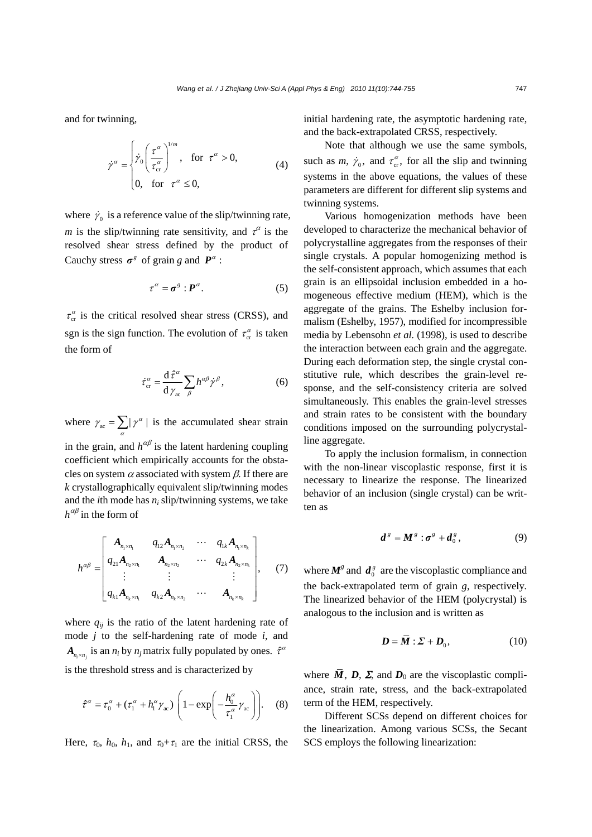and for twinning,

$$
\dot{\gamma}^{\alpha} = \begin{cases} \dot{\gamma}_0 \left( \frac{\tau^{\alpha}}{\tau_{cr}^{\alpha}} \right)^{1/m}, & \text{for } \tau^{\alpha} > 0, \\ 0, & \text{for } \tau^{\alpha} \le 0, \end{cases}
$$
 (4)

where  $\dot{\gamma}_0$  is a reference value of the slip/twinning rate, *m* is the slip/twinning rate sensitivity, and  $\tau^{\alpha}$  is the resolved shear stress defined by the product of Cauchy stress  $\sigma^g$  of grain *g* and  $P^a$ :

$$
\tau^{\alpha} = \sigma^{g} : \boldsymbol{P}^{\alpha}.
$$
 (5)

 $\tau_{cr}^{\alpha}$  is the critical resolved shear stress (CRSS), and sgn is the sign function. The evolution of  $\tau_{cr}^{\alpha}$  is taken the form of

$$
\dot{\tau}_{\rm cr}^{\alpha} = \frac{\mathrm{d}\,\hat{\tau}^{\alpha}}{\mathrm{d}\,\gamma_{\rm ac}} \sum_{\beta} h^{\alpha\beta} \dot{\gamma}^{\beta},\tag{6}
$$

where  $\gamma_{ac} = \sum_{\alpha} | \gamma^{\alpha} |$  is the accumulated shear strain in the grain, and  $h^{\alpha\beta}$  is the latent hardening coupling coefficient which empirically accounts for the obstacles on system  $\alpha$  associated with system  $\beta$ . If there are *k* crystallographically equivalent slip/twinning modes and the *i*th mode has *ni* slip/twinning systems, we take  $h^{\alpha\beta}$  in the form of

$$
h^{\alpha\beta} = \begin{bmatrix} A_{n_1 \times n_1} & q_{12} A_{n_1 \times n_2} & \cdots & q_{1k} A_{n_1 \times n_k} \\ q_{21} A_{n_2 \times n_1} & A_{n_2 \times n_2} & \cdots & q_{2k} A_{n_2 \times n_k} \\ \vdots & \vdots & & \vdots \\ q_{k1} A_{n_k \times n_1} & q_{k2} A_{n_k \times n_2} & \cdots & A_{n_k \times n_k} \end{bmatrix}, \quad (7)
$$

where  $q_{ij}$  is the ratio of the latent hardening rate of mode *j* to the self-hardening rate of mode *i*, and  $A_{n_i \times n_j}$  is an  $n_i$  by  $n_j$  matrix fully populated by ones.  $\hat{\tau}^{\alpha}$ is the threshold stress and is characterized by

$$
\hat{\tau}^{\alpha} = \tau_0^{\alpha} + (\tau_1^{\alpha} + h_1^{\alpha} \gamma_{ac}) \left( 1 - \exp\left( -\frac{h_0^{\alpha}}{\tau_1^{\alpha}} \gamma_{ac} \right) \right). \quad (8)
$$

Here,  $\tau_0$ ,  $h_0$ ,  $h_1$ , and  $\tau_0 + \tau_1$  are the initial CRSS, the

initial hardening rate, the asymptotic hardening rate, and the back-extrapolated CRSS, respectively.

Note that although we use the same symbols, such as *m*,  $\dot{\gamma}_0$ , and  $\tau_{cr}^{\alpha}$ , for all the slip and twinning systems in the above equations, the values of these parameters are different for different slip systems and twinning systems.

Various homogenization methods have been developed to characterize the mechanical behavior of polycrystalline aggregates from the responses of their single crystals. A popular homogenizing method is the self-consistent approach, which assumes that each grain is an ellipsoidal inclusion embedded in a homogeneous effective medium (HEM), which is the aggregate of the grains. The Eshelby inclusion formalism (Eshelby, 1957), modified for incompressible media by Lebensohn *et al.* (1998), is used to describe the interaction between each grain and the aggregate. During each deformation step, the single crystal constitutive rule, which describes the grain-level response, and the self-consistency criteria are solved simultaneously. This enables the grain-level stresses and strain rates to be consistent with the boundary conditions imposed on the surrounding polycrystalline aggregate.

To apply the inclusion formalism, in connection with the non-linear viscoplastic response, first it is necessary to linearize the response. The linearized behavior of an inclusion (single crystal) can be written as

$$
\boldsymbol{d}^{\,g} = \boldsymbol{M}^{\,g} : \boldsymbol{\sigma}^{\,g} + \boldsymbol{d}^{\,g}_{0}, \tag{9}
$$

where  $M^g$  and  $d_0^g$  are the viscoplastic compliance and the back-extrapolated term of grain *g*, respectively*.* The linearized behavior of the HEM (polycrystal) is analogous to the inclusion and is written as

$$
\mathbf{D} = \overline{\mathbf{M}} : \Sigma + \mathbf{D}_0,\tag{10}
$$

where  $\overline{M}$ ,  $D$ ,  $\Sigma$ , and  $D_0$  are the viscoplastic compliance, strain rate, stress, and the back-extrapolated term of the HEM, respectively.

Different SCSs depend on different choices for the linearization. Among various SCSs, the Secant SCS employs the following linearization: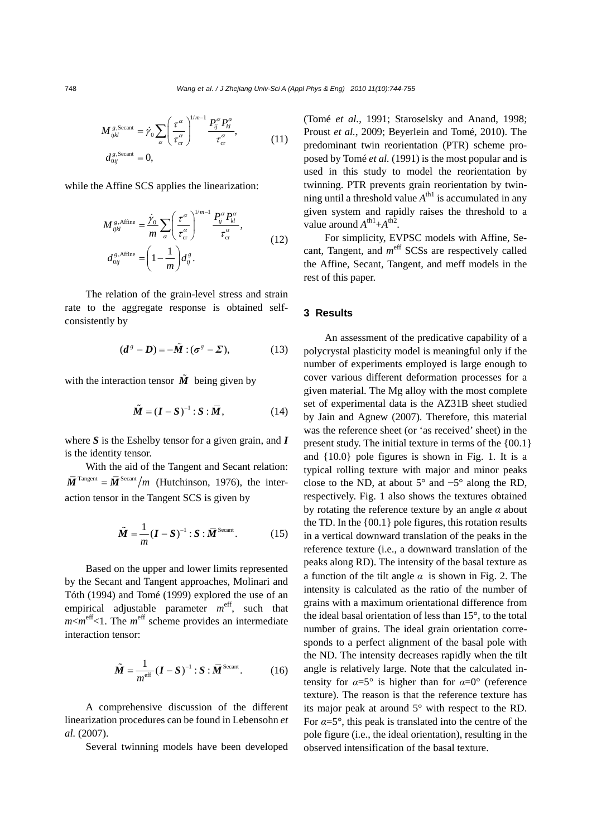$$
M_{ijkl}^{g,\text{Secant}} = \dot{\gamma}_0 \sum_{\alpha} \left( \frac{\tau^{\alpha}}{\tau_{\text{cr}}^{\alpha}} \right)^{1/m-1} \frac{P_{ij}^{\alpha} P_{kl}^{\alpha}}{\tau_{\text{cr}}^{\alpha}},
$$
  
\n
$$
d_{0ij}^{g,\text{Secant}} = 0,
$$
\n(11)

while the Affine SCS applies the linearization:

$$
M_{ijkl}^{g, \text{Affine}} = \frac{\dot{\gamma}_0}{m} \sum_{\alpha} \left(\frac{\tau^{\alpha}}{\tau_{cr}^{\alpha}}\right)^{1/m-1} \frac{P_{ij}^{\alpha} P_{kl}^{\alpha}}{\tau_{cr}^{\alpha}},
$$
  

$$
d_{0ij}^{g, \text{Affine}} = \left(1 - \frac{1}{m}\right) d_{ij}^g.
$$
 (12)

The relation of the grain-level stress and strain rate to the aggregate response is obtained selfconsistently by

$$
(\mathbf{d}^s - \mathbf{D}) = -\tilde{\mathbf{M}} : (\boldsymbol{\sigma}^s - \boldsymbol{\Sigma}),
$$
 (13)

with the interaction tensor  $\tilde{M}$  being given by

$$
\tilde{\boldsymbol{M}} = (\boldsymbol{I} - \boldsymbol{S})^{-1} : \boldsymbol{S} : \bar{\boldsymbol{M}}, \tag{14}
$$

where *S* is the Eshelby tensor for a given grain, and *I* is the identity tensor.

With the aid of the Tangent and Secant relation:  $\overline{M}$ <sup>Tangent</sup> =  $\overline{M}$ <sup>Secant</sup> /*m* (Hutchinson, 1976), the interaction tensor in the Tangent SCS is given by

$$
\tilde{\boldsymbol{M}} = \frac{1}{m} (\boldsymbol{I} - \boldsymbol{S})^{-1} : \boldsymbol{S} : \bar{\boldsymbol{M}}^{\text{Secant}}.
$$
 (15)

Based on the upper and lower limits represented by the Secant and Tangent approaches, Molinari and Tóth (1994) and Tomé (1999) explored the use of an empirical adjustable parameter  $m^{\text{eff}}$ , such that  $m$ <sup>eff</sup>
<1. The  $m$ <sup>eff</sup> scheme provides an intermediate interaction tensor:

$$
\tilde{\boldsymbol{M}} = \frac{1}{m^{\text{eff}}} (\boldsymbol{I} - \boldsymbol{S})^{-1} : \boldsymbol{S} : \bar{\boldsymbol{M}}^{\text{Secant}}.
$$
 (16)

A comprehensive discussion of the different linearization procedures can be found in Lebensohn *et al.* (2007).

Several twinning models have been developed

(Tomé *et al.*, 1991; Staroselsky and Anand, 1998; Proust *et al.*, 2009; Beyerlein and Tomé, 2010). The predominant twin reorientation (PTR) scheme proposed by Tomé *et al.* (1991) is the most popular and is used in this study to model the reorientation by twinning. PTR prevents grain reorientation by twinning until a threshold value  $A<sup>th1</sup>$  is accumulated in any given system and rapidly raises the threshold to a value around  $A^{th1}+A^{th2}$ .

For simplicity, EVPSC models with Affine, Secant, Tangent, and  $m^{\text{eff}}$  SCSs are respectively called the Affine, Secant, Tangent, and meff models in the rest of this paper.

# **3 Results**

An assessment of the predicative capability of a polycrystal plasticity model is meaningful only if the number of experiments employed is large enough to cover various different deformation processes for a given material. The Mg alloy with the most complete set of experimental data is the AZ31B sheet studied by Jain and Agnew (2007). Therefore, this material was the reference sheet (or 'as received' sheet) in the present study. The initial texture in terms of the {00.1} and {10.0} pole figures is shown in Fig. 1. It is a typical rolling texture with major and minor peaks close to the ND, at about  $5^{\circ}$  and  $-5^{\circ}$  along the RD, respectively. Fig. 1 also shows the textures obtained by rotating the reference texture by an angle *α* about the TD. In the {00.1} pole figures, this rotation results in a vertical downward translation of the peaks in the reference texture (i.e., a downward translation of the peaks along RD). The intensity of the basal texture as a function of the tilt angle  $\alpha$  is shown in Fig. 2. The intensity is calculated as the ratio of the number of grains with a maximum orientational difference from the ideal basal orientation of less than 15°, to the total number of grains. The ideal grain orientation corresponds to a perfect alignment of the basal pole with the ND. The intensity decreases rapidly when the tilt angle is relatively large. Note that the calculated intensity for  $\alpha = 5^{\circ}$  is higher than for  $\alpha = 0^{\circ}$  (reference texture). The reason is that the reference texture has its major peak at around 5° with respect to the RD. For  $\alpha = 5^{\circ}$ , this peak is translated into the centre of the pole figure (i.e., the ideal orientation), resulting in the observed intensification of the basal texture.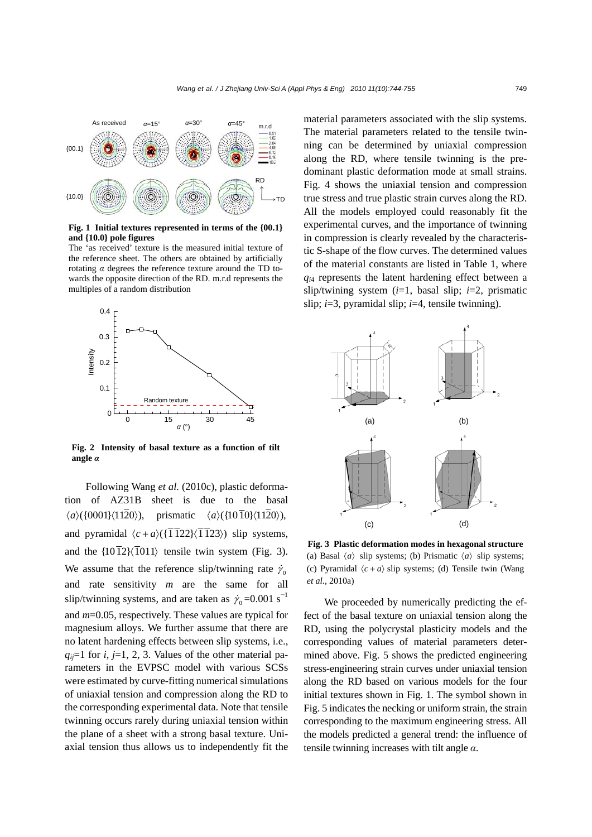

**Fig. 1 Initial textures represented in terms of the {00.1} and {10.0} pole figures** 

The 'as received' texture is the measured initial texture of the reference sheet. The others are obtained by artificially rotating *α* degrees the reference texture around the TD towards the opposite direction of the RD. m.r.d represents the multiples of a random distribution



**Fig. 2 Intensity of basal texture as a function of tilt angle** *α*

Following Wang *et al.* (2010c), plastic deformation of AZ31B sheet is due to the basal  $\langle a \rangle$ ({0001} $\langle 11\overline{2}0 \rangle$ ), prismatic  $\langle a \rangle$ ({10 $\overline{1}0$ } $\langle 11\overline{2}0 \rangle$ ), and pyramidal  $\langle c+a\rangle (\{\overline{1} \overline{1} 22 \}\langle \overline{1} \overline{1} 23 \rangle)$  slip systems, and the  $\{10\overline{1}2\}\langle \overline{1}011\rangle$  tensile twin system (Fig. 3). We assume that the reference slip/twinning rate  $\dot{\gamma}_0$ and rate sensitivity *m* are the same for all slip/twinning systems, and are taken as  $\dot{\gamma}_0 = 0.001 \text{ s}^{-1}$ and *m*=0.05, respectively. These values are typical for magnesium alloys. We further assume that there are no latent hardening effects between slip systems, i.e.,  $q_{ii}=1$  for *i*, *j*=1, 2, 3. Values of the other material parameters in the EVPSC model with various SCSs were estimated by curve-fitting numerical simulations of uniaxial tension and compression along the RD to the corresponding experimental data. Note that tensile twinning occurs rarely during uniaxial tension within the plane of a sheet with a strong basal texture. Uniaxial tension thus allows us to independently fit the

material parameters associated with the slip systems. The material parameters related to the tensile twinning can be determined by uniaxial compression along the RD, where tensile twinning is the predominant plastic deformation mode at small strains. Fig. 4 shows the uniaxial tension and compression true stress and true plastic strain curves along the RD. All the models employed could reasonably fit the experimental curves, and the importance of twinning in compression is clearly revealed by the characteristic S-shape of the flow curves. The determined values of the material constants are listed in Table 1, where *qi*4 represents the latent hardening effect between a slip/twining system (*i*=1, basal slip; *i*=2, prismatic slip; *i*=3, pyramidal slip; *i*=4, tensile twinning).



**Fig. 3 Plastic deformation modes in hexagonal structure** (a) Basal  $\langle a \rangle$  slip systems; (b) Prismatic  $\langle a \rangle$  slip systems; (c) Pyramidal  $\langle c + a \rangle$  slip systems; (d) Tensile twin (Wang *et al.*, 2010a)

We proceeded by numerically predicting the effect of the basal texture on uniaxial tension along the RD, using the polycrystal plasticity models and the corresponding values of material parameters determined above. Fig. 5 shows the predicted engineering stress-engineering strain curves under uniaxial tension along the RD based on various models for the four initial textures shown in Fig. 1. The symbol shown in Fig. 5 indicates the necking or uniform strain, the strain corresponding to the maximum engineering stress. All the models predicted a general trend: the influence of tensile twinning increases with tilt angle *α*.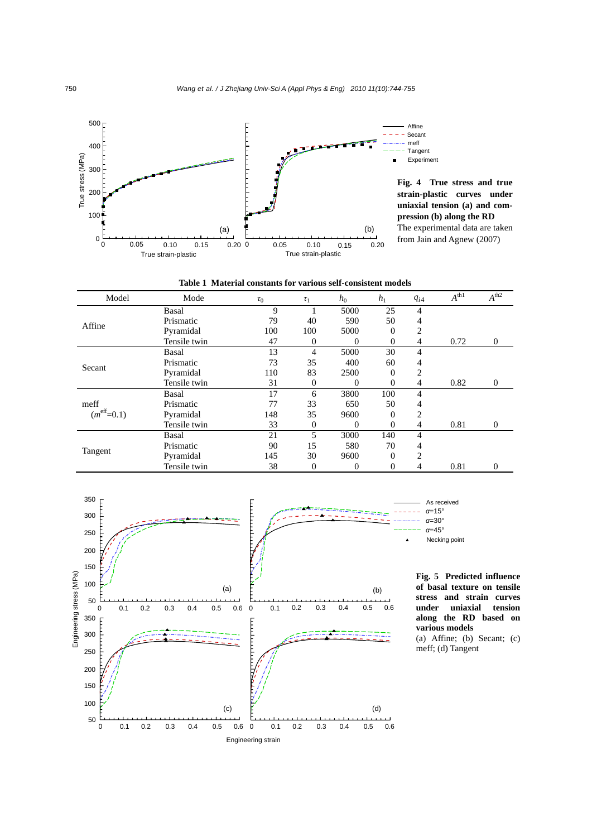

**Fig. 4 True stress and true strain-plastic curves under uniaxial tension (a) and compression (b) along the RD**  The experimental data are taken from Jain and Agnew (2007)



| Model                          | Mode         | $\tau_0$ | $\tau_1$     | $h_0$    | $h_1$ | $q_{i4}$       | $A^{\text{th1}}$ | $A^{th2}$        |
|--------------------------------|--------------|----------|--------------|----------|-------|----------------|------------------|------------------|
| Affine                         | Basal        | 9        |              | 5000     | 25    | 4              |                  |                  |
|                                | Prismatic    | 79       | 40           | 590      | 50    | 4              |                  |                  |
|                                | Pyramidal    | 100      | 100          | 5000     | 0     | 2              |                  |                  |
|                                | Tensile twin | 47       | 0            | 0        | 0     | $\overline{4}$ | 0.72             | $\boldsymbol{0}$ |
| Secant                         | Basal        | 13       | 4            | 5000     | 30    | $\overline{4}$ |                  |                  |
|                                | Prismatic    | 73       | 35           | 400      | 60    | 4              |                  |                  |
|                                | Pyramidal    | 110      | 83           | 2500     | 0     | 2              |                  |                  |
|                                | Tensile twin | 31       | $\theta$     | $\Omega$ | 0     | 4              | 0.82             | $\mathbf{0}$     |
| meff<br>$(m^{\text{eff}}=0.1)$ | Basal        | 17       | 6            | 3800     | 100   | 4              |                  |                  |
|                                | Prismatic    | 77       | 33           | 650      | 50    | 4              |                  |                  |
|                                | Pyramidal    | 148      | 35           | 9600     | 0     | 2              |                  |                  |
|                                | Tensile twin | 33       | $\mathbf{0}$ | 0        | 0     | 4              | 0.81             | $\mathbf{0}$     |
| Tangent                        | Basal        | 21       | 5            | 3000     | 140   | $\overline{4}$ |                  |                  |
|                                | Prismatic    | 90       | 15           | 580      | 70    | 4              |                  |                  |
|                                | Pyramidal    | 145      | 30           | 9600     | 0     | 2              |                  |                  |
|                                | Tensile twin | 38       | 0            | 0        | 0     | 4              | 0.81             | 0                |



**Fig. 5 Predicted influence of basal texture on tensile stress and strain curves under uniaxial tension along the RD based on various models** 

<sup>(</sup>a) Affine; (b) Secant; (c) meff; (d) Tangent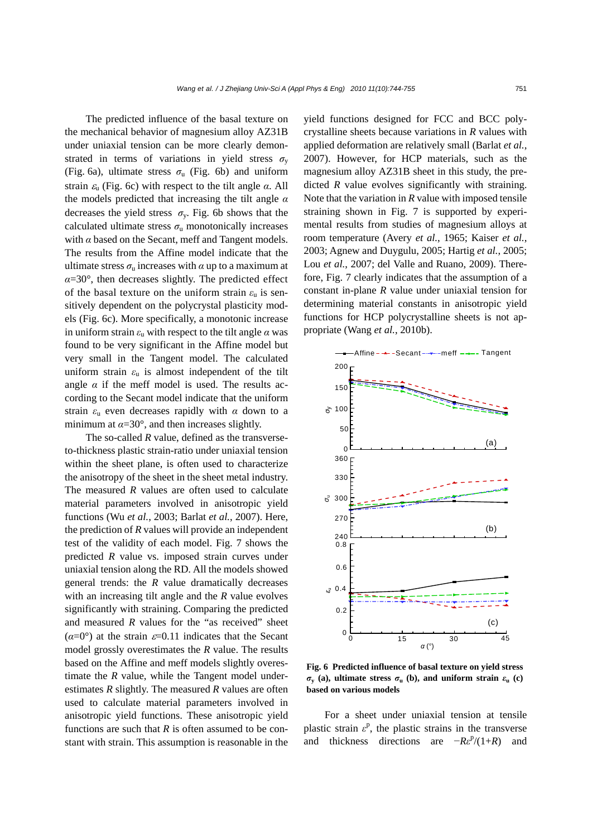The predicted influence of the basal texture on the mechanical behavior of magnesium alloy AZ31B under uniaxial tension can be more clearly demonstrated in terms of variations in yield stress  $\sigma_{y}$ (Fig. 6a), ultimate stress  $\sigma$ <sub>u</sub> (Fig. 6b) and uniform strain  $\varepsilon$ <sub>u</sub> (Fig. 6c) with respect to the tilt angle  $\alpha$ . All the models predicted that increasing the tilt angle *α* decreases the yield stress  $\sigma_{v}$ . Fig. 6b shows that the calculated ultimate stress  $\sigma$ <sub>u</sub> monotonically increases with  $\alpha$  based on the Secant, meff and Tangent models. The results from the Affine model indicate that the ultimate stress  $\sigma_u$  increases with  $\alpha$  up to a maximum at  $\alpha$ =30°, then decreases slightly. The predicted effect of the basal texture on the uniform strain  $\varepsilon$ <sub>u</sub> is sensitively dependent on the polycrystal plasticity models (Fig. 6c). More specifically, a monotonic increase in uniform strain  $\varepsilon$ <sub>u</sub> with respect to the tilt angle  $\alpha$  was found to be very significant in the Affine model but very small in the Tangent model. The calculated uniform strain  $\varepsilon$ <sub>u</sub> is almost independent of the tilt angle  $\alpha$  if the meff model is used. The results according to the Secant model indicate that the uniform strain  $\varepsilon$ <sub>u</sub> even decreases rapidly with  $\alpha$  down to a minimum at  $\alpha = 30^\circ$ , and then increases slightly.

The so-called *R* value, defined as the transverseto-thickness plastic strain-ratio under uniaxial tension within the sheet plane, is often used to characterize the anisotropy of the sheet in the sheet metal industry. The measured *R* values are often used to calculate material parameters involved in anisotropic yield functions (Wu *et al.*, 2003; Barlat *et al.*, 2007). Here, the prediction of *R* values will provide an independent test of the validity of each model. Fig. 7 shows the predicted *R* value vs. imposed strain curves under uniaxial tension along the RD. All the models showed general trends: the *R* value dramatically decreases with an increasing tilt angle and the *R* value evolves significantly with straining. Comparing the predicted and measured *R* values for the "as received" sheet  $(\alpha=0^{\circ})$  at the strain  $\varepsilon=0.11$  indicates that the Secant model grossly overestimates the *R* value. The results based on the Affine and meff models slightly overestimate the *R* value, while the Tangent model underestimates *R* slightly. The measured *R* values are often used to calculate material parameters involved in anisotropic yield functions. These anisotropic yield functions are such that  $R$  is often assumed to be constant with strain. This assumption is reasonable in the

yield functions designed for FCC and BCC polycrystalline sheets because variations in *R* values with applied deformation are relatively small (Barlat *et al.*, 2007). However, for HCP materials, such as the magnesium alloy AZ31B sheet in this study, the predicted *R* value evolves significantly with straining. Note that the variation in *R* value with imposed tensile straining shown in Fig. 7 is supported by experimental results from studies of magnesium alloys at room temperature (Avery *et al.*, 1965; Kaiser *et al.*, 2003; Agnew and Duygulu, 2005; Hartig *et al.*, 2005; Lou *et al.*, 2007; del Valle and Ruano, 2009). Therefore, Fig. 7 clearly indicates that the assumption of a constant in-plane *R* value under uniaxial tension for determining material constants in anisotropic yield functions for HCP polycrystalline sheets is not appropriate (Wang *et al.*, 2010b).

![](_page_7_Figure_4.jpeg)

**Fig. 6 Predicted influence of basal texture on yield stress**  *σ*<sup>*y*</sup> (a), ultimate stress  $σ$ <sup>*u*</sup> (b), and uniform strain  $ε$ <sup>*u*</sup> (c) **based on various models** 

For a sheet under uniaxial tension at tensile plastic strain  $\varepsilon^p$ , the plastic strains in the transverse and thickness directions are  $-Re<sup>p</sup>/(1+R)$  and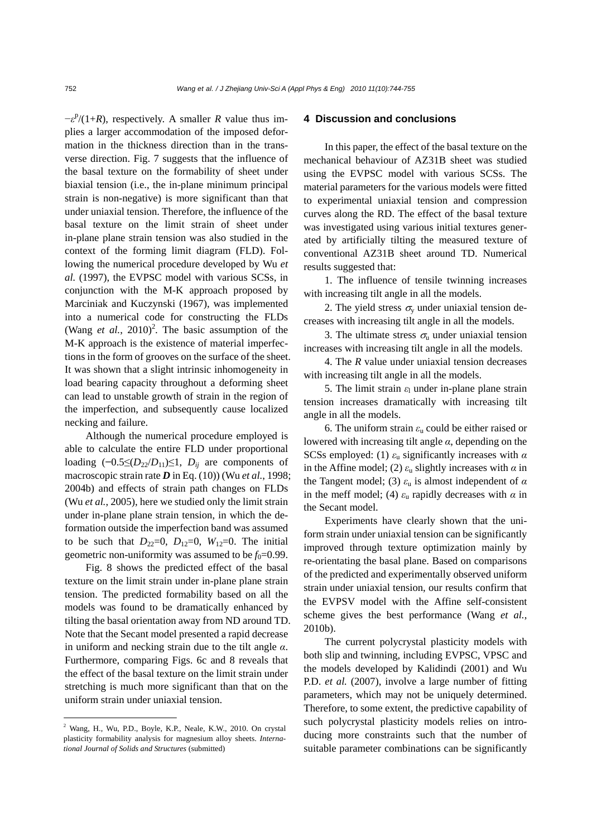$-\varepsilon^{p}/(1+R)$ , respectively. A smaller *R* value thus implies a larger accommodation of the imposed deformation in the thickness direction than in the transverse direction. Fig. 7 suggests that the influence of the basal texture on the formability of sheet under biaxial tension (i.e., the in-plane minimum principal strain is non-negative) is more significant than that under uniaxial tension. Therefore, the influence of the basal texture on the limit strain of sheet under in-plane plane strain tension was also studied in the context of the forming limit diagram (FLD). Following the numerical procedure developed by Wu *et al.* (1997), the EVPSC model with various SCSs, in conjunction with the M-K approach proposed by Marciniak and Kuczynski (1967), was implemented into a numerical code for constructing the FLDs (Wang *et al.*,  $2010$ <sup>2</sup>. The basic assumption of the M-K approach is the existence of material imperfections in the form of grooves on the surface of the sheet. It was shown that a slight intrinsic inhomogeneity in load bearing capacity throughout a deforming sheet can lead to unstable growth of strain in the region of the imperfection, and subsequently cause localized necking and failure.

Although the numerical procedure employed is able to calculate the entire FLD under proportional loading  $(-0.5≤(D_{22}/D_{11})≤1$ ,  $D_{ii}$  are components of macroscopic strain rate *D* in Eq. (10)) (Wu *et al.*, 1998; 2004b) and effects of strain path changes on FLDs (Wu *et al.*, 2005), here we studied only the limit strain under in-plane plane strain tension, in which the deformation outside the imperfection band was assumed to be such that  $D_{22}=0$ ,  $D_{12}=0$ ,  $W_{12}=0$ . The initial geometric non-uniformity was assumed to be  $f_0=0.99$ .

Fig. 8 shows the predicted effect of the basal texture on the limit strain under in-plane plane strain tension. The predicted formability based on all the models was found to be dramatically enhanced by tilting the basal orientation away from ND around TD. Note that the Secant model presented a rapid decrease in uniform and necking strain due to the tilt angle *α*. Furthermore, comparing Figs. 6c and 8 reveals that the effect of the basal texture on the limit strain under stretching is much more significant than that on the uniform strain under uniaxial tension.

## **4 Discussion and conclusions**

In this paper, the effect of the basal texture on the mechanical behaviour of AZ31B sheet was studied using the EVPSC model with various SCSs. The material parameters for the various models were fitted to experimental uniaxial tension and compression curves along the RD. The effect of the basal texture was investigated using various initial textures generated by artificially tilting the measured texture of conventional AZ31B sheet around TD. Numerical results suggested that:

1. The influence of tensile twinning increases with increasing tilt angle in all the models.

2. The yield stress  $\sigma_{v}$  under uniaxial tension decreases with increasing tilt angle in all the models.

3. The ultimate stress  $\sigma_{\rm u}$  under uniaxial tension increases with increasing tilt angle in all the models.

4. The *R* value under uniaxial tension decreases with increasing tilt angle in all the models.

5. The limit strain  $\varepsilon_1$  under in-plane plane strain tension increases dramatically with increasing tilt angle in all the models.

6. The uniform strain  $\varepsilon$ <sub>u</sub> could be either raised or lowered with increasing tilt angle *α*, depending on the SCSs employed: (1) *ε*u significantly increases with *α* in the Affine model; (2)  $\varepsilon$ <sub>u</sub> slightly increases with  $\alpha$  in the Tangent model; (3) *ε*u is almost independent of *α* in the meff model; (4)  $\varepsilon$ <sub>u</sub> rapidly decreases with  $\alpha$  in the Secant model.

Experiments have clearly shown that the uniform strain under uniaxial tension can be significantly improved through texture optimization mainly by re-orientating the basal plane. Based on comparisons of the predicted and experimentally observed uniform strain under uniaxial tension, our results confirm that the EVPSV model with the Affine self-consistent scheme gives the best performance (Wang *et al.*, 2010b).

The current polycrystal plasticity models with both slip and twinning, including EVPSC, VPSC and the models developed by Kalidindi (2001) and Wu P.D. *et al.* (2007), involve a large number of fitting parameters, which may not be uniquely determined. Therefore, to some extent, the predictive capability of such polycrystal plasticity models relies on introducing more constraints such that the number of suitable parameter combinations can be significantly

<sup>2</sup> Wang, H., Wu, P.D., Boyle, K.P., Neale, K.W., 2010. On crystal plasticity formability analysis for magnesium alloy sheets. *International Journal of Solids and Structures* (submitted)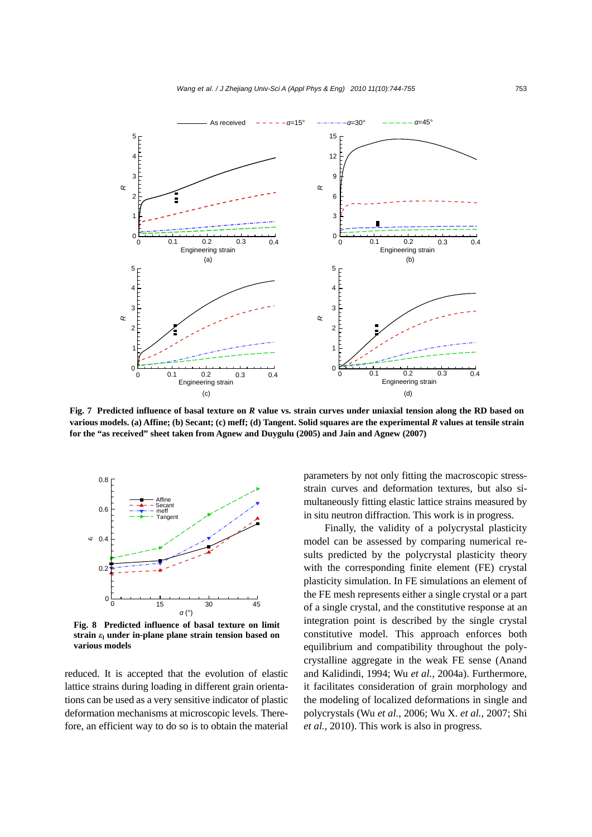![](_page_9_Figure_1.jpeg)

**Fig. 7 Predicted influence of basal texture on** *R* **value vs. strain curves under uniaxial tension along the RD based on various models. (a) Affine; (b) Secant; (c) meff; (d) Tangent. Solid squares are the experimental** *R* **values at tensile strain for the "as received" sheet taken from Agnew and Duygulu (2005) and Jain and Agnew (2007)** 

![](_page_9_Figure_3.jpeg)

**Fig. 8 Predicted influence of basal texture on limit strain** *ε***l under in-plane plane strain tension based on various models** 

reduced. It is accepted that the evolution of elastic lattice strains during loading in different grain orientations can be used as a very sensitive indicator of plastic deformation mechanisms at microscopic levels. Therefore, an efficient way to do so is to obtain the material parameters by not only fitting the macroscopic stressstrain curves and deformation textures, but also simultaneously fitting elastic lattice strains measured by in situ neutron diffraction. This work is in progress.

Finally, the validity of a polycrystal plasticity model can be assessed by comparing numerical results predicted by the polycrystal plasticity theory with the corresponding finite element (FE) crystal plasticity simulation. In FE simulations an element of the FE mesh represents either a single crystal or a part of a single crystal, and the constitutive response at an integration point is described by the single crystal constitutive model. This approach enforces both equilibrium and compatibility throughout the polycrystalline aggregate in the weak FE sense (Anand and Kalidindi, 1994; Wu *et al.*, 2004a). Furthermore, it facilitates consideration of grain morphology and the modeling of localized deformations in single and polycrystals (Wu *et al.*, 2006; Wu X. *et al.*, 2007; Shi *et al.*, 2010). This work is also in progress.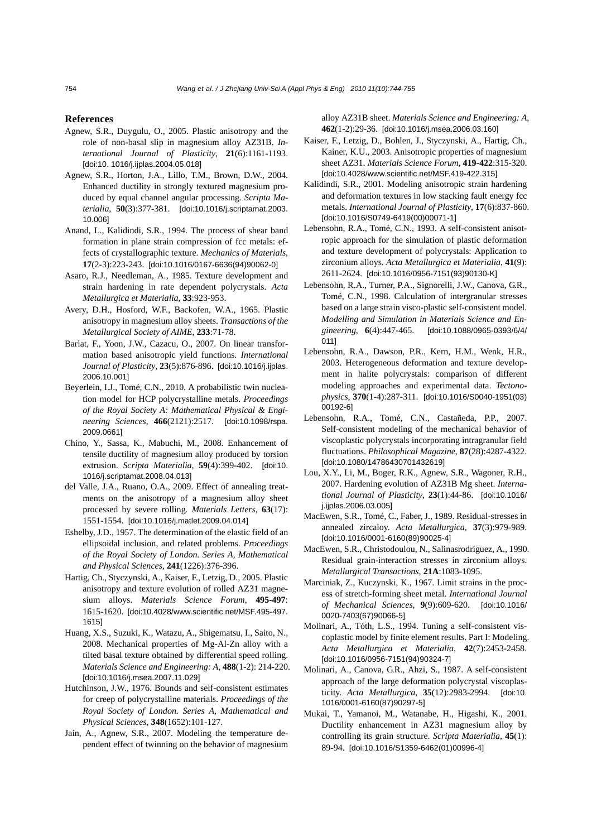#### **References**

- Agnew, S.R., Duygulu, O., 2005. Plastic anisotropy and the role of non-basal slip in magnesium alloy AZ31B. *International Journal of Plasticity*, **21**(6):1161-1193. [doi:10. 1016/j.ijplas.2004.05.018]
- Agnew, S.R., Horton, J.A., Lillo, T.M., Brown, D.W., 2004. Enhanced ductility in strongly textured magnesium produced by equal channel angular processing. *Scripta Materialia*, **50**(3):377-381. [doi:10.1016/j.scriptamat.2003. 10.006]
- Anand, L., Kalidindi, S.R., 1994. The process of shear band formation in plane strain compression of fcc metals: effects of crystallographic texture. *Mechanics of Materials*, **17**(2-3):223-243. [doi:10.1016/0167-6636(94)90062-0]
- Asaro, R.J., Needleman, A., 1985. Texture development and strain hardening in rate dependent polycrystals. *Acta Metallurgica et Materialia*, **33**:923-953.
- Avery, D.H., Hosford, W.F., Backofen, W.A., 1965. Plastic anisotropy in magnesium alloy sheets. *Transactions of the Metallurgical Society of AIME*, **233**:71-78.
- Barlat, F., Yoon, J.W., Cazacu, O., 2007. On linear transformation based anisotropic yield functions. *International Journal of Plasticity*, **23**(5):876-896. [doi:10.1016/j.ijplas. 2006.10.001]
- Beyerlein, I.J., Tomé, C.N., 2010. A probabilistic twin nucleation model for HCP polycrystalline metals. *Proceedings of the Royal Society A: Mathematical Physical & Engineering Sciences*, **466**(2121):2517. [doi:10.1098/rspa. 2009.0661]
- Chino, Y., Sassa, K., Mabuchi, M., 2008. Enhancement of tensile ductility of magnesium alloy produced by torsion extrusion. *Scripta Materialia*, **59**(4):399-402. [doi:10. 1016/j.scriptamat.2008.04.013]
- del Valle, J.A., Ruano, O.A., 2009. Effect of annealing treatments on the anisotropy of a magnesium alloy sheet processed by severe rolling. *Materials Letters*, **63**(17): 1551-1554. [doi:10.1016/j.matlet.2009.04.014]
- Eshelby, J.D., 1957. The determination of the elastic field of an ellipsoidal inclusion, and related problems. *Proceedings of the Royal Society of London. Series A, Mathematical and Physical Sciences*, **241**(1226):376-396.
- Hartig, Ch., Styczynski, A., Kaiser, F., Letzig, D., 2005. Plastic anisotropy and texture evolution of rolled AZ31 magnesium alloys. *Materials Science Forum*, **495-497**: 1615-1620. [doi:10.4028/www.scientific.net/MSF.495-497. 1615]
- Huang, X.S., Suzuki, K., Watazu, A., Shigematsu, I., Saito, N., 2008. Mechanical properties of Mg-Al-Zn alloy with a tilted basal texture obtained by differential speed rolling. *Materials Science and Engineering: A*, **488**(1-2): 214-220. [doi:10.1016/j.msea.2007.11.029]
- Hutchinson, J.W., 1976. Bounds and self-consistent estimates for creep of polycrystalline materials. *Proceedings of the Royal Society of London. Series A, Mathematical and Physical Sciences*, **348**(1652):101-127.
- Jain, A., Agnew, S.R., 2007. Modeling the temperature dependent effect of twinning on the behavior of magnesium

alloy AZ31B sheet. *Materials Science and Engineering: A*, **462**(1-2):29-36. [doi:10.1016/j.msea.2006.03.160]

- Kaiser, F., Letzig, D., Bohlen, J., Styczynski, A., Hartig, Ch., Kainer, K.U., 2003. Anisotropic properties of magnesium sheet AZ31. *Materials Science Forum*, **419-422**:315-320. [doi:10.4028/www.scientific.net/MSF.419-422.315]
- Kalidindi, S.R., 2001. Modeling anisotropic strain hardening and deformation textures in low stacking fault energy fcc metals. *International Journal of Plasticity*, **17**(6):837-860. [doi:10.1016/S0749-6419(00)00071-1]
- Lebensohn, R.A., Tomé, C.N., 1993. A self-consistent anisotropic approach for the simulation of plastic deformation and texture development of polycrystals: Application to zirconium alloys. *Acta Metallurgica et Materialia*, **41**(9): 2611-2624. [doi:10.1016/0956-7151(93)90130-K]
- Lebensohn, R.A., Turner, P.A., Signorelli, J.W., Canova, G.R., Tomé, C.N., 1998. Calculation of intergranular stresses based on a large strain visco-plastic self-consistent model. *Modelling and Simulation in Materials Science and Engineering*, **6**(4):447-465. [doi:10.1088/0965-0393/6/4/ 011]
- Lebensohn, R.A., Dawson, P.R., Kern, H.M., Wenk, H.R., 2003. Heterogeneous deformation and texture development in halite polycrystals: comparison of different modeling approaches and experimental data. *Tectonophysics*, **370**(1-4):287-311. [doi:10.1016/S0040-1951(03) 00192-6]
- Lebensohn, R.A., Tomé, C.N., Castañeda, P.P., 2007. Self-consistent modeling of the mechanical behavior of viscoplastic polycrystals incorporating intragranular field fluctuations. *Philosophical Magazine*, **87**(28):4287-4322. [doi:10.1080/14786430701432619]
- Lou, X.Y., Li, M., Boger, R.K., Agnew, S.R., Wagoner, R.H., 2007. Hardening evolution of AZ31B Mg sheet. *International Journal of Plasticity*, **23**(1):44-86. [doi:10.1016/ j.ijplas.2006.03.005]
- MacEwen, S.R., Tomé, C., Faber, J., 1989. Residual-stresses in annealed zircaloy. *Acta Metallurgica*, **37**(3):979-989. [doi:10.1016/0001-6160(89)90025-4]
- MacEwen, S.R., Christodoulou, N., Salinasrodriguez, A., 1990. Residual grain-interaction stresses in zirconium alloys. *Metallurgical Transactions*, **21A**:1083-1095.
- Marciniak, Z., Kuczynski, K., 1967. Limit strains in the process of stretch-forming sheet metal. *International Journal of Mechanical Sciences*, **9**(9):609-620. [doi:10.1016/ 0020-7403(67)90066-5]
- Molinari, A., Tóth, L.S., 1994. Tuning a self-consistent viscoplastic model by finite element results. Part I: Modeling. *Acta Metallurgica et Materialia*, **42**(7):2453-2458. [doi:10.1016/0956-7151(94)90324-7]
- Molinari, A., Canova, G.R., Ahzi, S., 1987. A self-consistent approach of the large deformation polycrystal viscoplasticity. *Acta Metallurgica*, **35**(12):2983-2994. [doi:10. 1016/0001-6160(87)90297-5]
- Mukai, T., Yamanoi, M., Watanabe, H., Higashi, K., 2001. Ductility enhancement in AZ31 magnesium alloy by controlling its grain structure. *Scripta Materialia*, **45**(1): 89-94. [doi:10.1016/S1359-6462(01)00996-4]